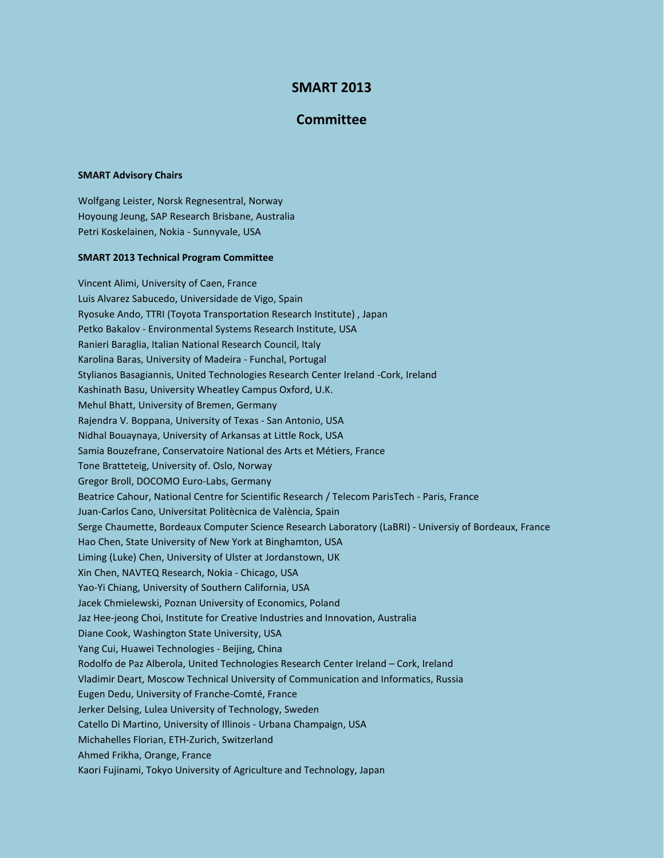## **SMART 2013**

## **Committee**

## **SMART Advisory Chairs**

Wolfgang Leister, Norsk Regnesentral, Norway Hoyoung Jeung, SAP Research Brisbane, Australia Petri Koskelainen, Nokia - Sunnyvale, USA

## **SMART 2013 Technical Program Committee**

Vincent Alimi, University of Caen, France Luis Alvarez Sabucedo, Universidade de Vigo, Spain Ryosuke Ando, TTRI (Toyota Transportation Research Institute) , Japan Petko Bakalov - Environmental Systems Research Institute, USA Ranieri Baraglia, Italian National Research Council, Italy Karolina Baras, University of Madeira - Funchal, Portugal Stylianos Basagiannis, United Technologies Research Center Ireland -Cork, Ireland Kashinath Basu, University Wheatley Campus Oxford, U.K. Mehul Bhatt, University of Bremen, Germany Rajendra V. Boppana, University of Texas - San Antonio, USA Nidhal Bouaynaya, University of Arkansas at Little Rock, USA Samia Bouzefrane, Conservatoire National des Arts et Métiers, France Tone Bratteteig, University of. Oslo, Norway Gregor Broll, DOCOMO Euro-Labs, Germany Beatrice Cahour, National Centre for Scientific Research / Telecom ParisTech - Paris, France Juan-Carlos Cano, Universitat Politècnica de València, Spain Serge Chaumette, Bordeaux Computer Science Research Laboratory (LaBRI) - Universiy of Bordeaux, France Hao Chen, State University of New York at Binghamton, USA Liming (Luke) Chen, University of Ulster at Jordanstown, UK Xin Chen, NAVTEQ Research, Nokia - Chicago, USA Yao-Yi Chiang, University of Southern California, USA Jacek Chmielewski, Poznan University of Economics, Poland Jaz Hee-jeong Choi, Institute for Creative Industries and Innovation, Australia Diane Cook, Washington State University, USA Yang Cui, Huawei Technologies - Beijing, China Rodolfo de Paz Alberola, United Technologies Research Center Ireland – Cork, Ireland Vladimir Deart, Moscow Technical University of Communication and Informatics, Russia Eugen Dedu, University of Franche-Comté, France Jerker Delsing, Lulea University of Technology, Sweden Catello Di Martino, University of Illinois - Urbana Champaign, USA Michahelles Florian, ETH-Zurich, Switzerland Ahmed Frikha, Orange, France Kaori Fujinami, Tokyo University of Agriculture and Technology, Japan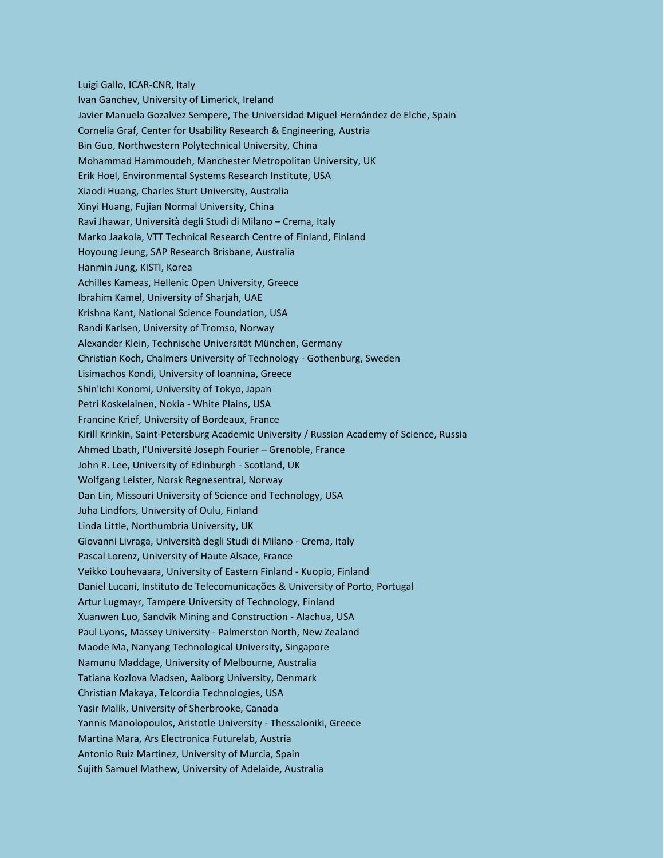Luigi Gallo, ICAR-CNR, Italy Ivan Ganchev, University of Limerick, Ireland Javier Manuela Gozalvez Sempere, The Universidad Miguel Hernández de Elche, Spain Cornelia Graf, Center for Usability Research & Engineering, Austria Bin Guo, Northwestern Polytechnical University, China Mohammad Hammoudeh, Manchester Metropolitan University, UK Erik Hoel, Environmental Systems Research Institute, USA Xiaodi Huang, Charles Sturt University, Australia Xinyi Huang, Fujian Normal University, China Ravi Jhawar, Università degli Studi di Milano – Crema, Italy Marko Jaakola, VTT Technical Research Centre of Finland, Finland Hoyoung Jeung, SAP Research Brisbane, Australia Hanmin Jung, KISTI, Korea Achilles Kameas, Hellenic Open University, Greece Ibrahim Kamel, University of Sharjah, UAE Krishna Kant, National Science Foundation, USA Randi Karlsen, University of Tromso, Norway Alexander Klein, Technische Universität München, Germany Christian Koch, Chalmers University of Technology - Gothenburg, Sweden Lisimachos Kondi, University of Ioannina, Greece Shin'ichi Konomi, University of Tokyo, Japan Petri Koskelainen, Nokia - White Plains, USA Francine Krief, University of Bordeaux, France Kirill Krinkin, Saint-Petersburg Academic University / Russian Academy of Science, Russia Ahmed Lbath, l'Université Joseph Fourier – Grenoble, France John R. Lee, University of Edinburgh - Scotland, UK Wolfgang Leister, Norsk Regnesentral, Norway Dan Lin, Missouri University of Science and Technology, USA Juha Lindfors, University of Oulu, Finland Linda Little, Northumbria University, UK Giovanni Livraga, Università degli Studi di Milano - Crema, Italy Pascal Lorenz, University of Haute Alsace, France Veikko Louhevaara, University of Eastern Finland - Kuopio, Finland Daniel Lucani, Instituto de Telecomunicações & University of Porto, Portugal Artur Lugmayr, Tampere University of Technology, Finland Xuanwen Luo, Sandvik Mining and Construction - Alachua, USA Paul Lyons, Massey University - Palmerston North, New Zealand Maode Ma, Nanyang Technological University, Singapore Namunu Maddage, University of Melbourne, Australia Tatiana Kozlova Madsen, Aalborg University, Denmark Christian Makaya, Telcordia Technologies, USA Yasir Malik, University of Sherbrooke, Canada Yannis Manolopoulos, Aristotle University - Thessaloniki, Greece Martina Mara, Ars Electronica Futurelab, Austria Antonio Ruiz Martinez, University of Murcia, Spain Sujith Samuel Mathew, University of Adelaide, Australia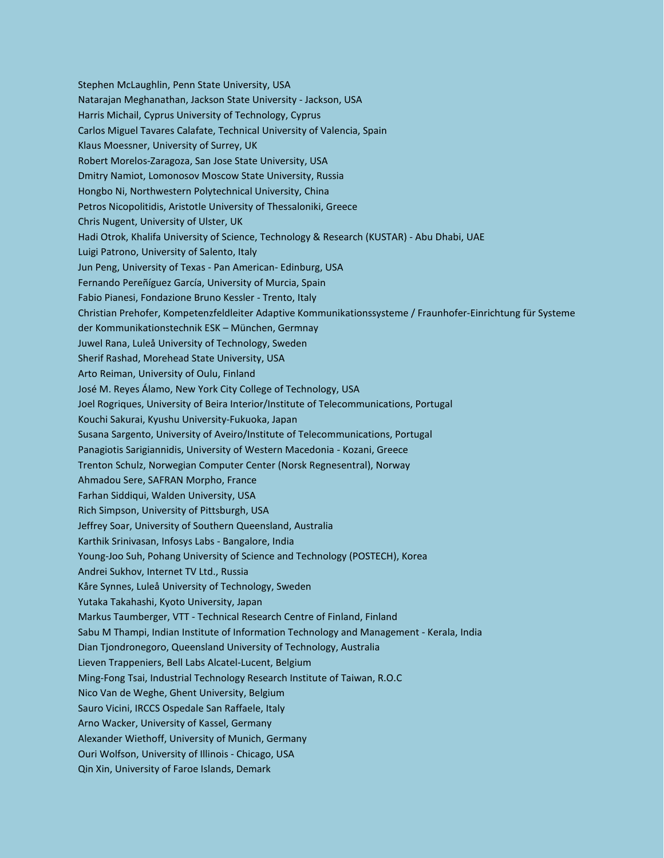Stephen McLaughlin, Penn State University, USA Natarajan Meghanathan, Jackson State University - Jackson, USA Harris Michail, Cyprus University of Technology, Cyprus Carlos Miguel Tavares Calafate, Technical University of Valencia, Spain Klaus Moessner, University of Surrey, UK Robert Morelos-Zaragoza, San Jose State University, USA Dmitry Namiot, Lomonosov Moscow State University, Russia Hongbo Ni, Northwestern Polytechnical University, China Petros Nicopolitidis, Aristotle University of Thessaloniki, Greece Chris Nugent, University of Ulster, UK Hadi Otrok, Khalifa University of Science, Technology & Research (KUSTAR) - Abu Dhabi, UAE Luigi Patrono, University of Salento, Italy Jun Peng, University of Texas - Pan American- Edinburg, USA Fernando Pereñíguez García, University of Murcia, Spain Fabio Pianesi, Fondazione Bruno Kessler - Trento, Italy Christian Prehofer, Kompetenzfeldleiter Adaptive Kommunikationssysteme / Fraunhofer-Einrichtung für Systeme der Kommunikationstechnik ESK – München, Germnay Juwel Rana, Luleå University of Technology, Sweden Sherif Rashad, Morehead State University, USA Arto Reiman, University of Oulu, Finland José M. Reyes Álamo, New York City College of Technology, USA Joel Rogriques, University of Beira Interior/Institute of Telecommunications, Portugal Kouchi Sakurai, Kyushu University-Fukuoka, Japan Susana Sargento, University of Aveiro/Institute of Telecommunications, Portugal Panagiotis Sarigiannidis, University of Western Macedonia - Kozani, Greece Trenton Schulz, Norwegian Computer Center (Norsk Regnesentral), Norway Ahmadou Sere, SAFRAN Morpho, France Farhan Siddiqui, Walden University, USA Rich Simpson, University of Pittsburgh, USA Jeffrey Soar, University of Southern Queensland, Australia Karthik Srinivasan, Infosys Labs - Bangalore, India Young-Joo Suh, Pohang University of Science and Technology (POSTECH), Korea Andrei Sukhov, Internet TV Ltd., Russia Kåre Synnes, Luleå University of Technology, Sweden Yutaka Takahashi, Kyoto University, Japan Markus Taumberger, VTT - Technical Research Centre of Finland, Finland Sabu M Thampi, Indian Institute of Information Technology and Management - Kerala, India Dian Tjondronegoro, Queensland University of Technology, Australia Lieven Trappeniers, Bell Labs Alcatel-Lucent, Belgium Ming-Fong Tsai, Industrial Technology Research Institute of Taiwan, R.O.C Nico Van de Weghe, Ghent University, Belgium Sauro Vicini, IRCCS Ospedale San Raffaele, Italy Arno Wacker, University of Kassel, Germany Alexander Wiethoff, University of Munich, Germany Ouri Wolfson, University of Illinois - Chicago, USA Qin Xin, University of Faroe Islands, Demark